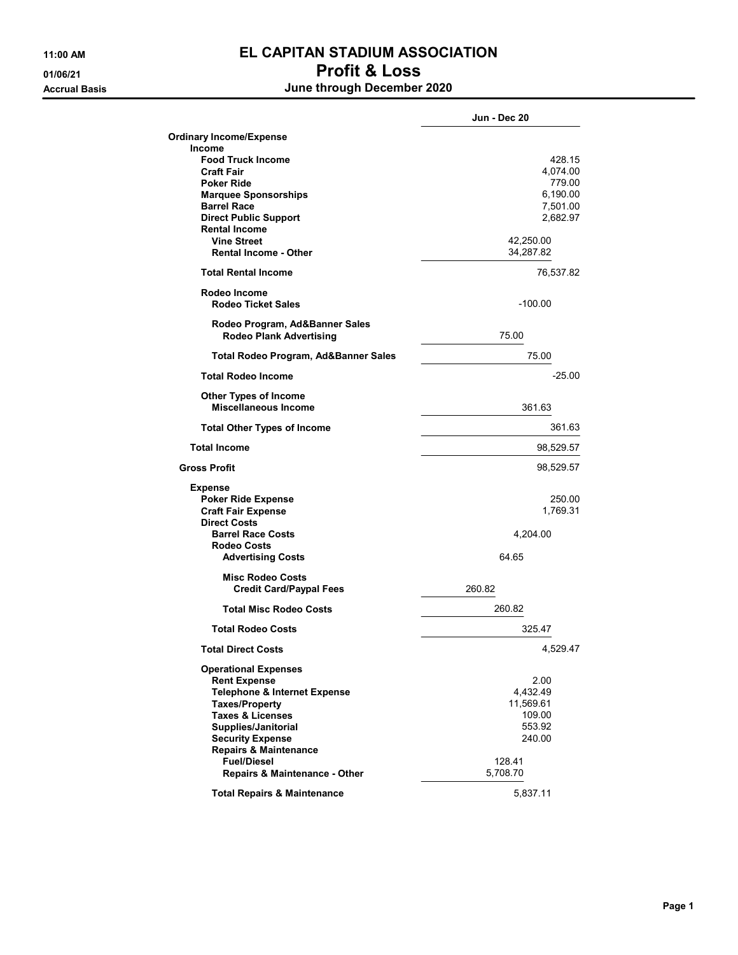## 11:00 AM EL CAPITAN STADIUM ASSOCIATION 01/06/21 Profit & Loss

Accrual Basis June through December 2020

|                                         | Jun - Dec 20 |
|-----------------------------------------|--------------|
| <b>Ordinary Income/Expense</b>          |              |
| Income                                  |              |
| <b>Food Truck Income</b>                | 428.15       |
| <b>Craft Fair</b>                       | 4,074.00     |
| <b>Poker Ride</b>                       | 779.00       |
| <b>Marquee Sponsorships</b>             | 6,190.00     |
| <b>Barrel Race</b>                      | 7,501.00     |
| <b>Direct Public Support</b>            | 2,682.97     |
| <b>Rental Income</b>                    |              |
| <b>Vine Street</b>                      | 42,250.00    |
| <b>Rental Income - Other</b>            | 34,287.82    |
| <b>Total Rental Income</b>              | 76,537.82    |
| Rodeo Income                            |              |
| <b>Rodeo Ticket Sales</b>               | $-100.00$    |
| Rodeo Program, Ad&Banner Sales          |              |
| <b>Rodeo Plank Advertising</b>          | 75.00        |
| Total Rodeo Program, Ad&Banner Sales    | 75.00        |
| <b>Total Rodeo Income</b>               | $-25.00$     |
| <b>Other Types of Income</b>            |              |
| <b>Miscellaneous Income</b>             | 361.63       |
| <b>Total Other Types of Income</b>      | 361.63       |
| <b>Total Income</b>                     | 98,529.57    |
| <b>Gross Profit</b>                     | 98,529.57    |
| Expense                                 |              |
| <b>Poker Ride Expense</b>               | 250.00       |
| <b>Craft Fair Expense</b>               | 1,769.31     |
| <b>Direct Costs</b>                     |              |
| <b>Barrel Race Costs</b>                | 4,204.00     |
| <b>Rodeo Costs</b>                      |              |
| <b>Advertising Costs</b>                | 64.65        |
| <b>Misc Rodeo Costs</b>                 |              |
| <b>Credit Card/Paypal Fees</b>          | 260.82       |
|                                         |              |
| <b>Total Misc Rodeo Costs</b>           | 260.82       |
| <b>Total Rodeo Costs</b>                | 325.47       |
| <b>Total Direct Costs</b>               | 4,529.47     |
| <b>Operational Expenses</b>             |              |
| <b>Rent Expense</b>                     | 2.00         |
| <b>Telephone &amp; Internet Expense</b> | 4,432.49     |
| <b>Taxes/Property</b>                   | 11,569.61    |
| <b>Taxes &amp; Licenses</b>             | 109.00       |
| Supplies/Janitorial                     | 553.92       |
| <b>Security Expense</b>                 | 240.00       |
| <b>Repairs &amp; Maintenance</b>        |              |
| <b>Fuel/Diesel</b>                      | 128.41       |
| Repairs & Maintenance - Other           | 5,708.70     |
|                                         |              |
| <b>Total Repairs &amp; Maintenance</b>  | 5,837.11     |